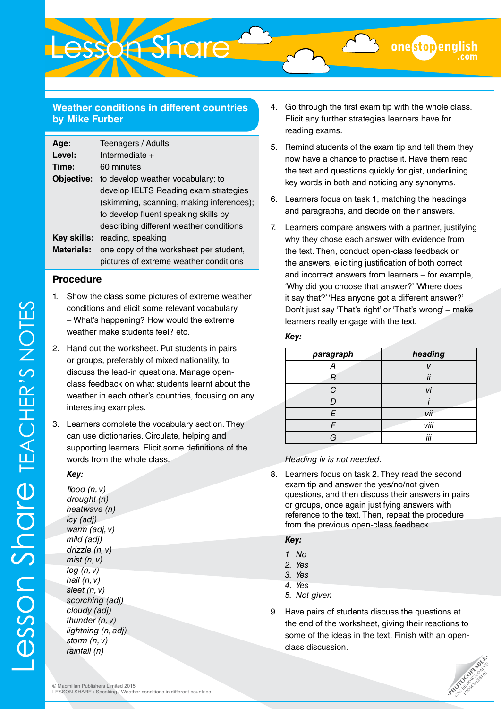# **Weather conditions in different countries by Mike Furber**

Lesson Share

| Age:              | Teenagers / Adults                       |
|-------------------|------------------------------------------|
| Level:            | Intermediate +                           |
| Time:             | 60 minutes                               |
| Objective:        | to develop weather vocabulary; to        |
|                   | develop IELTS Reading exam strategies    |
|                   | (skimming, scanning, making inferences); |
|                   | to develop fluent speaking skills by     |
|                   | describing different weather conditions  |
| Kev skills:       | reading, speaking                        |
| <b>Materials:</b> | one copy of the worksheet per student,   |
|                   | pictures of extreme weather conditions   |

### **Procedure**

- 1. Show the class some pictures of extreme weather conditions and elicit some relevant vocabulary – What's happening? How would the extreme weather make students feel? etc.
- 2. Hand out the worksheet. Put students in pairs or groups, preferably of mixed nationality, to discuss the lead-in questions. Manage openclass feedback on what students learnt about the weather in each other's countries, focusing on any interesting examples.
- 3. Learners complete the vocabulary section. They can use dictionaries. Circulate, helping and supporting learners. Elicit some definitions of the words from the whole class.

#### *Key:*

*flood (n, v) drought (n) heatwave (n) icy (adj) warm (adj, v) mild (adj) drizzle (n, v) mist (n, v) fog (n, v) hail (n, v) sleet (n, v) scorching (adj) cloudy (adj) thunder (n, v) lightning (n, adj) storm (n, v) rainfall (n)* 

- 4. Go through the first exam tip with the whole class. Elicit any further strategies learners have for reading exams.
- 5. Remind students of the exam tip and tell them they now have a chance to practise it. Have them read the text and questions quickly for gist, underlining key words in both and noticing any synonyms.
- 6. Learners focus on task 1, matching the headings and paragraphs, and decide on their answers.
- 7. Learners compare answers with a partner, justifying why they chose each answer with evidence from the text. Then, conduct open-class feedback on the answers, eliciting justification of both correct and incorrect answers from learners – for example, 'Why did you choose that answer?' 'Where does it say that?' 'Has anyone got a different answer?' Don't just say 'That's right' or 'That's wrong' – make learners really engage with the text.

#### *Key:*

| paragraph | heading |
|-----------|---------|
| А         |         |
| B         | ii      |
| ◠         |         |
|           |         |
| F         | vii     |
|           | viii    |
| G         | iii     |

*Heading iv is not needed.*

8. Learners focus on task 2. They read the second exam tip and answer the yes/no/not given questions, and then discuss their answers in pairs or groups, once again justifying answers with reference to the text. Then, repeat the procedure from the previous open-class feedback.

#### *Key:*

- *1. No*
- *2. Yes*
- *3. Yes*
- *4. Yes*
- *5. Not given*
- 9. Have pairs of students discuss the questions at the end of the worksheet, giving their reactions to some of the ideas in the text. Finish with an openclass discussion.

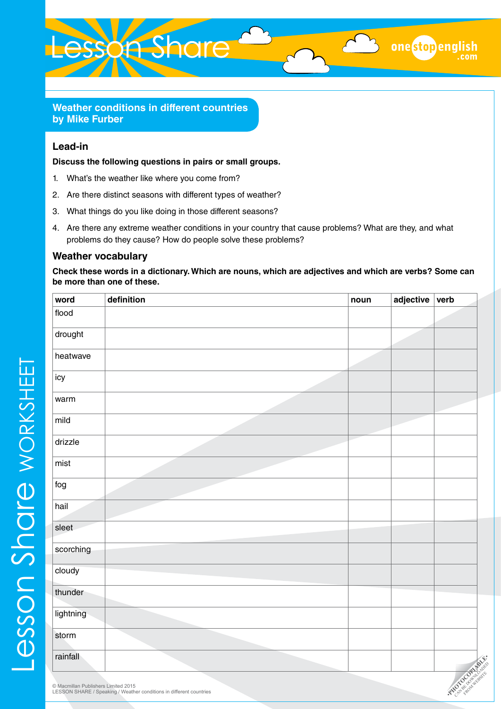

**Weather conditions in different countries by Mike Furber**

## **Lead-in**

**Discuss the following questions in pairs or small groups.**

- 1. What's the weather like where you come from?
- 2. Are there distinct seasons with different types of weather?
- 3. What things do you like doing in those different seasons?
- 4. Are there any extreme weather conditions in your country that cause problems? What are they, and what problems do they cause? How do people solve these problems?

#### **Weather vocabulary**

**Check these words in a dictionary. Which are nouns, which are adjectives and which are verbs? Some can be more than one of these.**

one stop english

| word      | definition | noun | adjective | verb          |
|-----------|------------|------|-----------|---------------|
| flood     |            |      |           |               |
| drought   |            |      |           |               |
| heatwave  |            |      |           |               |
| icy       |            |      |           |               |
| warm      |            |      |           |               |
| mild      |            |      |           |               |
| drizzle   |            |      |           |               |
| mist      |            |      |           |               |
| fog       |            |      |           |               |
| hail      |            |      |           |               |
| sleet     |            |      |           |               |
| scorching |            |      |           |               |
| cloudy    |            |      |           |               |
| thunder   |            |      |           |               |
| lightning |            |      |           |               |
| storm     |            |      |           |               |
| rainfall  |            |      |           | RICCOLORATION |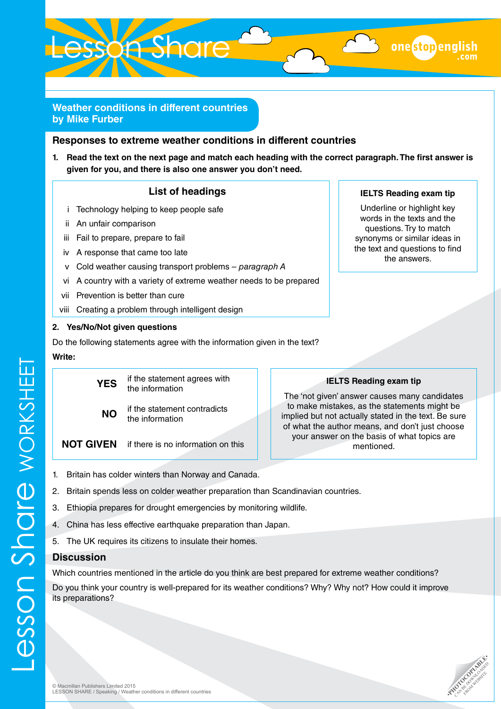

# **Weather conditions in different countries by Mike Furber**

#### **Responses to extreme weather conditions in different countries**

**1. Read the text on the next page and match each heading with the correct paragraph. The first answer is given for you, and there is also one answer you don't need.**

#### **List of headings**

- i Technology helping to keep people safe
- ii An unfair comparison
- iii Fail to prepare, prepare to fail
- iv A response that came too late
- v Cold weather causing transport problems *paragraph A*
- vi A country with a variety of extreme weather needs to be prepared
- vii Prevention is better than cure
- viii Creating a problem through intelligent design

#### **2. Yes/No/Not given questions**

Do the following statements agree with the information given in the text?

#### **Write:**



# the text and questions to find

**IELTS Reading exam tip** Underline or highlight key words in the texts and the questions. Try to match synonyms or similar ideas in

onestopeng

# the answers.

# **IELTS Reading exam tip**

The 'not given' answer causes many candidates to make mistakes, as the statements might be implied but not actually stated in the text. Be sure of what the author means, and don't just choose your answer on the basis of what topics are mentioned.

- 1. Britain has colder winters than Norway and Canada.
- 2. Britain spends less on colder weather preparation than Scandinavian countries.
- 3. Ethiopia prepares for drought emergencies by monitoring wildlife.
- 4. China has less effective earthquake preparation than Japan.
- 5. The UK requires its citizens to insulate their homes.

# **Discussion**

Lesson Share worksheet

esson Share worksheet

Which countries mentioned in the article do you think are best prepared for extreme weather conditions?

Do you think your country is well-prepared for its weather conditions? Why? Why not? How could it improve its preparations?